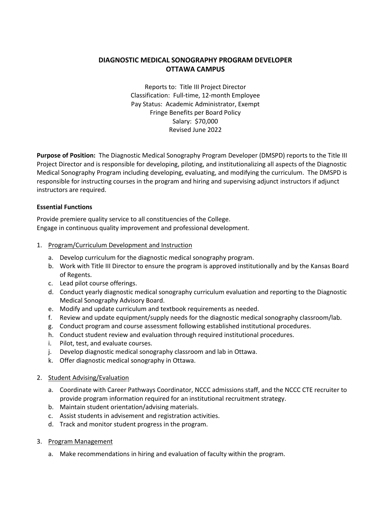# **DIAGNOSTIC MEDICAL SONOGRAPHY PROGRAM DEVELOPER OTTAWA CAMPUS**

Reports to: Title III Project Director Classification: Full-time, 12-month Employee Pay Status: Academic Administrator, Exempt Fringe Benefits per Board Policy Salary: \$70,000 Revised June 2022

**Purpose of Position:** The Diagnostic Medical Sonography Program Developer (DMSPD) reports to the Title III Project Director and is responsible for developing, piloting, and institutionalizing all aspects of the Diagnostic Medical Sonography Program including developing, evaluating, and modifying the curriculum. The DMSPD is responsible for instructing courses in the program and hiring and supervising adjunct instructors if adjunct instructors are required.

## **Essential Functions**

Provide premiere quality service to all constituencies of the College. Engage in continuous quality improvement and professional development.

## 1. Program/Curriculum Development and Instruction

- a. Develop curriculum for the diagnostic medical sonography program.
- b. Work with Title III Director to ensure the program is approved institutionally and by the Kansas Board of Regents.
- c. Lead pilot course offerings.
- d. Conduct yearly diagnostic medical sonography curriculum evaluation and reporting to the Diagnostic Medical Sonography Advisory Board.
- e. Modify and update curriculum and textbook requirements as needed.
- f. Review and update equipment/supply needs for the diagnostic medical sonography classroom/lab.
- g. Conduct program and course assessment following established institutional procedures.
- h. Conduct student review and evaluation through required institutional procedures.
- i. Pilot, test, and evaluate courses.
- j. Develop diagnostic medical sonography classroom and lab in Ottawa.
- k. Offer diagnostic medical sonography in Ottawa.

#### 2. Student Advising/Evaluation

- a. Coordinate with Career Pathways Coordinator, NCCC admissions staff, and the NCCC CTE recruiter to provide program information required for an institutional recruitment strategy.
- b. Maintain student orientation/advising materials.
- c. Assist students in advisement and registration activities.
- d. Track and monitor student progress in the program.
- 3. Program Management
	- a. Make recommendations in hiring and evaluation of faculty within the program.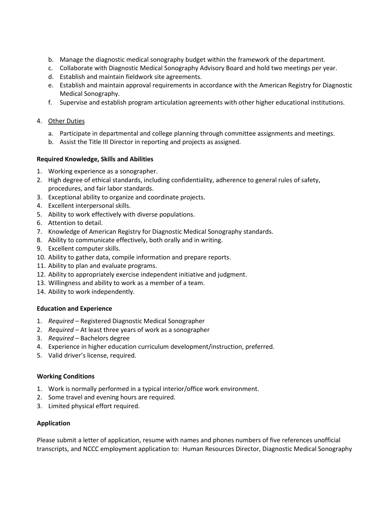- b. Manage the diagnostic medical sonography budget within the framework of the department.
- c. Collaborate with Diagnostic Medical Sonography Advisory Board and hold two meetings per year.
- d. Establish and maintain fieldwork site agreements.
- e. Establish and maintain approval requirements in accordance with the American Registry for Diagnostic Medical Sonography.
- f. Supervise and establish program articulation agreements with other higher educational institutions.

#### 4. Other Duties

- a. Participate in departmental and college planning through committee assignments and meetings.
- b. Assist the Title III Director in reporting and projects as assigned.

#### **Required Knowledge, Skills and Abilities**

- 1. Working experience as a sonographer.
- 2. High degree of ethical standards, including confidentiality, adherence to general rules of safety, procedures, and fair labor standards.
- 3. Exceptional ability to organize and coordinate projects.
- 4. Excellent interpersonal skills.
- 5. Ability to work effectively with diverse populations.
- 6. Attention to detail.
- 7. Knowledge of American Registry for Diagnostic Medical Sonography standards.
- 8. Ability to communicate effectively, both orally and in writing.
- 9. Excellent computer skills.
- 10. Ability to gather data, compile information and prepare reports.
- 11. Ability to plan and evaluate programs.
- 12. Ability to appropriately exercise independent initiative and judgment.
- 13. Willingness and ability to work as a member of a team.
- 14. Ability to work independently.

#### **Education and Experience**

- 1. *Required –* Registered Diagnostic Medical Sonographer
- 2. *Required –* At least three years of work as a sonographer
- 3. *Required –* Bachelors degree
- 4. Experience in higher education curriculum development/instruction, preferred.
- 5. Valid driver's license, required.

#### **Working Conditions**

- 1. Work is normally performed in a typical interior/office work environment.
- 2. Some travel and evening hours are required.
- 3. Limited physical effort required.

#### **Application**

Please submit a letter of application, resume with names and phones numbers of five references unofficial transcripts, and NCCC employment application to: Human Resources Director, Diagnostic Medical Sonography